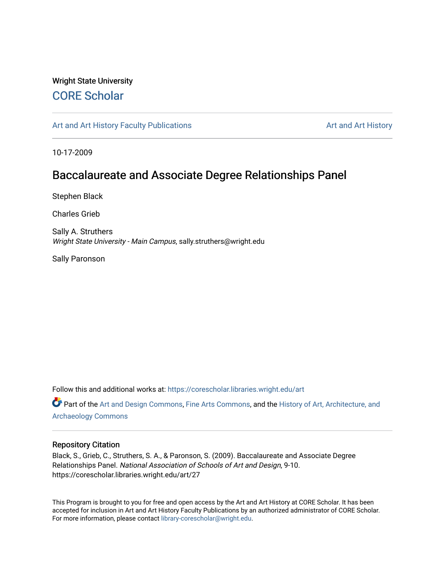### Wright State University [CORE Scholar](https://corescholar.libraries.wright.edu/)

[Art and Art History Faculty Publications](https://corescholar.libraries.wright.edu/art) [Art and Art History](https://corescholar.libraries.wright.edu/art_comm) Art and Art History

10-17-2009

### Baccalaureate and Associate Degree Relationships Panel

Stephen Black

Charles Grieb

Sally A. Struthers Wright State University - Main Campus, sally.struthers@wright.edu

Sally Paronson

Follow this and additional works at: [https://corescholar.libraries.wright.edu/art](https://corescholar.libraries.wright.edu/art?utm_source=corescholar.libraries.wright.edu%2Fart%2F27&utm_medium=PDF&utm_campaign=PDFCoverPages) 

Part of the [Art and Design Commons](http://network.bepress.com/hgg/discipline/1049?utm_source=corescholar.libraries.wright.edu%2Fart%2F27&utm_medium=PDF&utm_campaign=PDFCoverPages), [Fine Arts Commons](http://network.bepress.com/hgg/discipline/1141?utm_source=corescholar.libraries.wright.edu%2Fart%2F27&utm_medium=PDF&utm_campaign=PDFCoverPages), and the [History of Art, Architecture, and](http://network.bepress.com/hgg/discipline/510?utm_source=corescholar.libraries.wright.edu%2Fart%2F27&utm_medium=PDF&utm_campaign=PDFCoverPages) [Archaeology Commons](http://network.bepress.com/hgg/discipline/510?utm_source=corescholar.libraries.wright.edu%2Fart%2F27&utm_medium=PDF&utm_campaign=PDFCoverPages) 

#### Repository Citation

Black, S., Grieb, C., Struthers, S. A., & Paronson, S. (2009). Baccalaureate and Associate Degree Relationships Panel. National Association of Schools of Art and Design, 9-10. https://corescholar.libraries.wright.edu/art/27

This Program is brought to you for free and open access by the Art and Art History at CORE Scholar. It has been accepted for inclusion in Art and Art History Faculty Publications by an authorized administrator of CORE Scholar. For more information, please contact [library-corescholar@wright.edu](mailto:library-corescholar@wright.edu).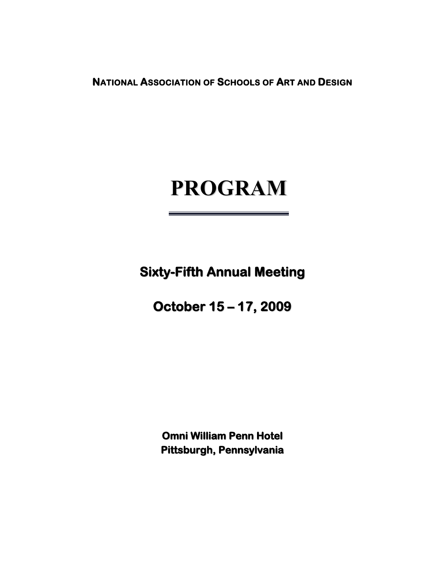**NATIONAL ASSOCIATION OF SCHOOLS OF ART AND DESIGN** 

# **PROGRAM**

**Sixty-Fifth Annual Meeting**

**October 15 – 17, 2009**

**Omni William Penn Hotel Pittsburgh, Pennsylvania**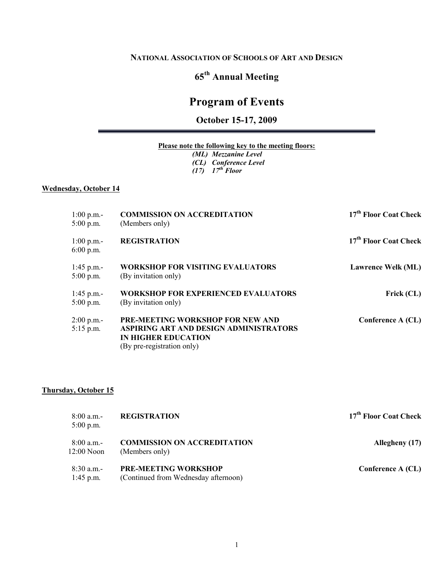#### **NATIONAL ASSOCIATION OF SCHOOLS OF ART AND DESIGN**

### **65th Annual Meeting**

### **Program of Events**

**October 15-17, 2009**

#### **Please note the following key to the meeting floors:**

*(ML) Mezzanine Level (CL) Conference Level (17) 17th Floor*

#### **Wednesday, October 14**

| $1:00$ p.m.-<br>$5:00$ p.m. | <b>COMMISSION ON ACCREDITATION</b><br>(Members only)                                                                                          | 17 <sup>th</sup> Floor Coat Check |
|-----------------------------|-----------------------------------------------------------------------------------------------------------------------------------------------|-----------------------------------|
| $1:00$ p.m.-<br>$6:00$ p.m. | <b>REGISTRATION</b>                                                                                                                           | 17 <sup>th</sup> Floor Coat Check |
| 1:45 p.m.-<br>$5:00$ p.m.   | <b>WORKSHOP FOR VISITING EVALUATORS</b><br>(By invitation only)                                                                               | <b>Lawrence Welk (ML)</b>         |
| 1:45 p.m.-<br>$5:00$ p.m.   | <b>WORKSHOP FOR EXPERIENCED EVALUATORS</b><br>(By invitation only)                                                                            | Frick (CL)                        |
| $2:00$ p.m.-<br>$5:15$ p.m. | <b>PRE-MEETING WORKSHOP FOR NEW AND</b><br>ASPIRING ART AND DESIGN ADMINISTRATORS<br><b>IN HIGHER EDUCATION</b><br>(By pre-registration only) | Conference A (CL)                 |

#### **Thursday, October 15**

| 8:00 a.m.-<br>$5:00$ p.m.  | <b>REGISTRATION</b>                                                 | 17 <sup>th</sup> Floor Coat Check |
|----------------------------|---------------------------------------------------------------------|-----------------------------------|
| 8:00 a.m.-<br>$12:00$ Noon | <b>COMMISSION ON ACCREDITATION</b><br>(Members only)                | Allegheny (17)                    |
| $8:30$ a.m.-<br>1:45 p.m.  | <b>PRE-MEETING WORKSHOP</b><br>(Continued from Wednesday afternoon) | Conference A (CL)                 |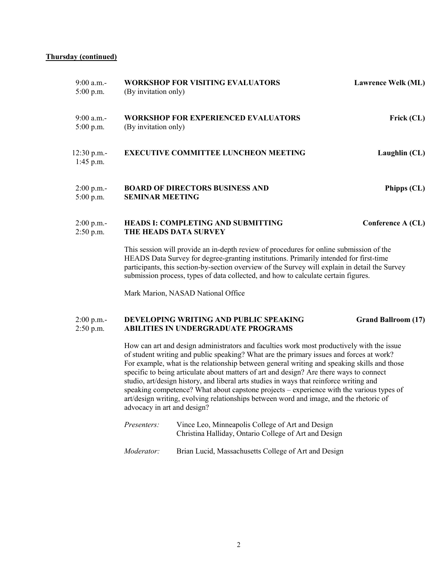#### **Thursday (continued)**

| $9:00$ a.m.-<br>$5:00$ p.m. | <b>WORKSHOP FOR VISITING EVALUATORS</b><br>(By invitation only)                                                                                                                                                                                                                                                                                                          | <b>Lawrence Welk (ML)</b>  |
|-----------------------------|--------------------------------------------------------------------------------------------------------------------------------------------------------------------------------------------------------------------------------------------------------------------------------------------------------------------------------------------------------------------------|----------------------------|
| 9:00 a.m.-<br>$5:00$ p.m.   | <b>WORKSHOP FOR EXPERIENCED EVALUATORS</b><br>(By invitation only)                                                                                                                                                                                                                                                                                                       | Frick (CL)                 |
| 12:30 p.m.<br>$1:45$ p.m.   | <b>EXECUTIVE COMMITTEE LUNCHEON MEETING</b>                                                                                                                                                                                                                                                                                                                              | Laughlin (CL)              |
| $2:00$ p.m.-<br>$5:00$ p.m. | <b>BOARD OF DIRECTORS BUSINESS AND</b><br><b>SEMINAR MEETING</b>                                                                                                                                                                                                                                                                                                         | Phipps (CL)                |
| $2:00$ p.m.-<br>$2:50$ p.m. | <b>HEADS I: COMPLETING AND SUBMITTING</b><br>THE HEADS DATA SURVEY                                                                                                                                                                                                                                                                                                       | Conference A (CL)          |
|                             | This session will provide an in-depth review of procedures for online submission of the<br>HEADS Data Survey for degree-granting institutions. Primarily intended for first-time<br>participants, this section-by-section overview of the Survey will explain in detail the Survey<br>submission process, types of data collected, and how to calculate certain figures. |                            |
|                             | Mark Marion, NASAD National Office                                                                                                                                                                                                                                                                                                                                       |                            |
| $2:00$ p.m.-<br>$2:50$ p.m. | DEVELOPING WRITING AND PUBLIC SPEAKING<br><b>ABILITIES IN UNDERGRADUATE PROGRAMS</b>                                                                                                                                                                                                                                                                                     | <b>Grand Ballroom (17)</b> |
|                             | How can art and design administrators and faculties work most productively with the issue<br>of student writing and public speaking? What are the primary issues and forces at work?                                                                                                                                                                                     |                            |

For example, what is the relationship between general writing and speaking skills and those specific to being articulate about matters of art and design? Are there ways to connect studio, art/design history, and liberal arts studies in ways that reinforce writing and speaking competence? What about capstone projects – experience with the various types of art/design writing, evolving relationships between word and image, and the rhetoric of advocacy in art and design?

| <i>Presenters:</i> | Vince Leo, Minneapolis College of Art and Design<br>Christina Halliday, Ontario College of Art and Design |
|--------------------|-----------------------------------------------------------------------------------------------------------|
| <i>Moderator:</i>  | Brian Lucid, Massachusetts College of Art and Design                                                      |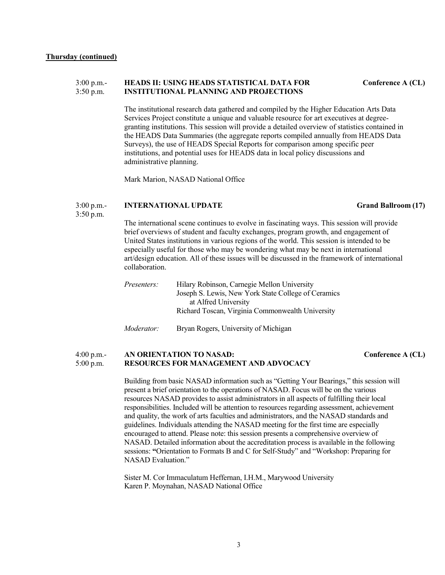#### 3:00 p.m.- **HEADS II: USING HEADS STATISTICAL DATA FOR Conference A (CL)** 3:50 p.m. **INSTITUTIONAL PLANNING AND PROJECTIONS**

The institutional research data gathered and compiled by the Higher Education Arts Data Services Project constitute a unique and valuable resource for art executives at degreegranting institutions. This session will provide a detailed overview of statistics contained in the HEADS Data Summaries (the aggregate reports compiled annually from HEADS Data Surveys), the use of HEADS Special Reports for comparison among specific peer institutions, and potential uses for HEADS data in local policy discussions and administrative planning.

Mark Marion, NASAD National Office

#### 3:00 p.m.- **INTERNATIONAL UPDATE Grand Ballroom (17)**

3:50 p.m.

The international scene continues to evolve in fascinating ways. This session will provide brief overviews of student and faculty exchanges, program growth, and engagement of United States institutions in various regions of the world. This session is intended to be especially useful for those who may be wondering what may be next in international art/design education. All of these issues will be discussed in the framework of international collaboration.

| <i>Presenters:</i> | Hilary Robinson, Carnegie Mellon University         |
|--------------------|-----------------------------------------------------|
|                    | Joseph S. Lewis, New York State College of Ceramics |
|                    | at Alfred University                                |
|                    | Richard Toscan, Virginia Commonwealth University    |
|                    |                                                     |

*Moderator:* Bryan Rogers, University of Michigan

#### 4:00 p.m.-<br>5:00 p.m. **RESOURCES FOR MANAGEMENT AND ADVOCACY** Conference A (CL) 5:00 p.m. **RESOURCES FOR MANAGEMENT AND ADVOCACY**

Building from basic NASAD information such as "Getting Your Bearings," this session will present a brief orientation to the operations of NASAD. Focus will be on the various resources NASAD provides to assist administrators in all aspects of fulfilling their local responsibilities. Included will be attention to resources regarding assessment, achievement and quality, the work of arts faculties and administrators, and the NASAD standards and guidelines. Individuals attending the NASAD meeting for the first time are especially encouraged to attend. Please note: this session presents a comprehensive overview of NASAD. Detailed information about the accreditation process is available in the following sessions: **"**Orientation to Formats B and C for Self-Study" and "Workshop: Preparing for NASAD Evaluation."

Sister M. Cor Immaculatum Heffernan, I.H.M., Marywood University Karen P. Moynahan, NASAD National Office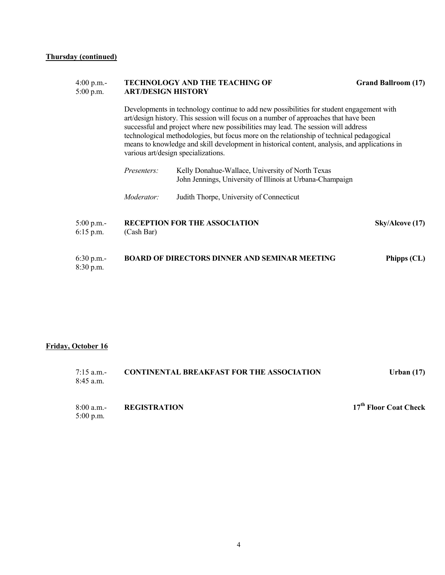#### 4:00 p.m.- **TECHNOLOGY AND THE TEACHING OF Grand Ballroom (17)**<br>5:00 p.m. **ART/DESIGN HISTORY** 5:00 p.m. **ART/DESIGN HISTORY**

Developments in technology continue to add new possibilities for student engagement with art/design history. This session will focus on a number of approaches that have been successful and project where new possibilities may lead. The session will address technological methodologies, but focus more on the relationship of technical pedagogical means to knowledge and skill development in historical content, analysis, and applications in various art/design specializations.

| 5:00 p.m.- |                    | <b>RECEPTION FOR THE ASSOCIATION</b>                                                                          | Sky/Alcove (17) |
|------------|--------------------|---------------------------------------------------------------------------------------------------------------|-----------------|
|            | Moderator:         | Judith Thorpe, University of Connecticut                                                                      |                 |
|            | <i>Presenters:</i> | Kelly Donahue-Wallace, University of North Texas<br>John Jennings, University of Illinois at Urbana-Champaign |                 |

| Phipps (CL)                                          |
|------------------------------------------------------|
| <b>BOARD OF DIRECTORS DINNER AND SEMINAR MEETING</b> |

#### **Friday, October 16**

5:00 p.m.

6:15 p.m. (Cash Bar)

| $7:15$ a.m.-<br>$8:45$ a.m. | <b>CONTINENTAL BREAKFAST FOR THE ASSOCIATION</b> | Urban $(17)$                      |
|-----------------------------|--------------------------------------------------|-----------------------------------|
| 8:00 a.m.                   | <b>REGISTRATION</b>                              | 17 <sup>th</sup> Floor Coat Check |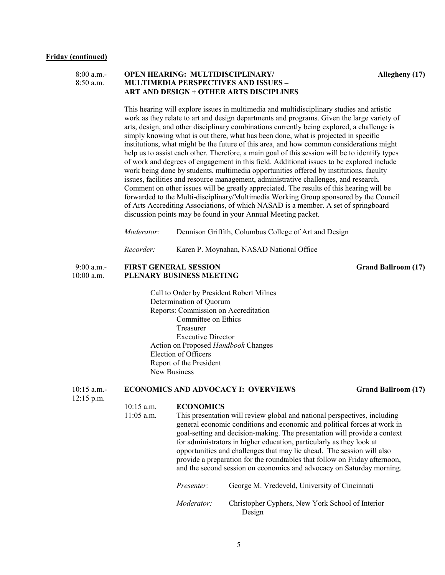| 8:00 a.m.   | <b>OPEN HEARING: MULTIDISCIPLINARY/</b>     |
|-------------|---------------------------------------------|
| $8:50$ a.m. | <b>MULTIMEDIA PERSPECTIVES AND ISSUES -</b> |
|             | ART AND DESIGN + OTHER ARTS DISCIPLINES     |

**Allegheny (17)** 

This hearing will explore issues in multimedia and multidisciplinary studies and artistic work as they relate to art and design departments and programs. Given the large variety of arts, design, and other disciplinary combinations currently being explored, a challenge is simply knowing what is out there, what has been done, what is projected in specific institutions, what might be the future of this area, and how common considerations might help us to assist each other. Therefore, a main goal of this session will be to identify types of work and degrees of engagement in this field. Additional issues to be explored include work being done by students, multimedia opportunities offered by institutions, faculty issues, facilities and resource management, administrative challenges, and research. Comment on other issues will be greatly appreciated. The results of this hearing will be forwarded to the Multi-disciplinary/Multimedia Working Group sponsored by the Council of Arts Accrediting Associations, of which NASAD is a member. A set of springboard discussion points may be found in your Annual Meeting packet.

*Moderator:* Dennison Griffith, Columbus College of Art and Design

*Recorder:* Karen P. Moynahan, NASAD National Office

#### 9:00 a.m.- **FIRST GENERAL SESSION Grand Ballroom (17)** 10:00 a.m. **PLENARY BUSINESS MEETING**

Call to Order by President Robert Milnes Determination of Quorum Reports: Commission on Accreditation Committee on Ethics Treasurer Executive Director Action on Proposed *Handbook* Changes Election of Officers Report of the President New Business

#### 10:15 a.m.- **ECONOMICS AND ADVOCACY I: OVERVIEWS Grand Ballroom (17)**

12:15 p.m.

## 10:15 a.m. **ECONOMICS**<br>11:05 a.m. This presentatio

This presentation will review global and national perspectives, including general economic conditions and economic and political forces at work in goal-setting and decision-making. The presentation will provide a context for administrators in higher education, particularly as they look at opportunities and challenges that may lie ahead. The session will also provide a preparation for the roundtables that follow on Friday afternoon, and the second session on economics and advocacy on Saturday morning.

| <i>Presenter:</i> | George M. Vredeveld, University of Cincinnati              |
|-------------------|------------------------------------------------------------|
| <i>Moderator:</i> | Christopher Cyphers, New York School of Interior<br>Design |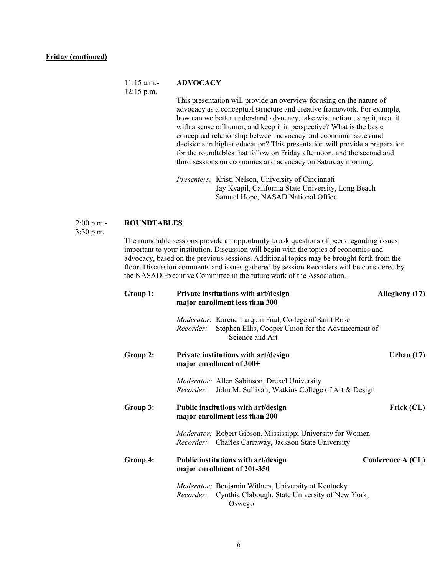#### 11:15 a.m.- **ADVOCACY**

12:15 p.m.

This presentation will provide an overview focusing on the nature of advocacy as a conceptual structure and creative framework. For example, how can we better understand advocacy, take wise action using it, treat it with a sense of humor, and keep it in perspective? What is the basic conceptual relationship between advocacy and economic issues and decisions in higher education? This presentation will provide a preparation for the roundtables that follow on Friday afternoon, and the second and third sessions on economics and advocacy on Saturday morning.

*Presenters:* Kristi Nelson, University of Cincinnati Jay Kvapil, California State University, Long Beach Samuel Hope, NASAD National Office

#### 2:00 p.m.- **ROUNDTABLES**

3:30 p.m.

The roundtable sessions provide an opportunity to ask questions of peers regarding issues important to your institution. Discussion will begin with the topics of economics and advocacy, based on the previous sessions. Additional topics may be brought forth from the floor. Discussion comments and issues gathered by session Recorders will be considered by the NASAD Executive Committee in the future work of the Association. .

| Group 1: | Private institutions with art/design<br>major enrollment less than 300                                                                             | Allegheny (17)    |
|----------|----------------------------------------------------------------------------------------------------------------------------------------------------|-------------------|
|          | Moderator: Karene Tarquin Faul, College of Saint Rose<br>Stephen Ellis, Cooper Union for the Advancement of<br><i>Recorder:</i><br>Science and Art |                   |
| Group 2: | Private institutions with art/design<br>major enrollment of 300+                                                                                   | Urban $(17)$      |
|          | <i>Moderator:</i> Allen Sabinson, Drexel University<br>John M. Sullivan, Watkins College of Art & Design<br><i>Recorder:</i>                       |                   |
| Group 3: | Public institutions with art/design<br>major enrollment less than 200                                                                              | Frick (CL)        |
|          | Moderator: Robert Gibson, Mississippi University for Women<br>Recorder: Charles Carraway, Jackson State University                                 |                   |
| Group 4: | Public institutions with art/design<br>major enrollment of 201-350                                                                                 | Conference A (CL) |
|          | <i>Moderator:</i> Benjamin Withers, University of Kentucky<br><i>Recorder:</i> Cynthia Clabough, State University of New York,<br>Oswego           |                   |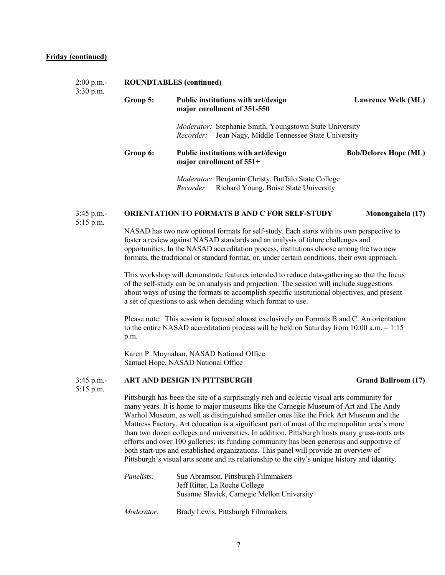#### **Friday (continued)**

| $2:00$ p.m.-<br>$3:30$ p.m. |          | <b>ROUNDTABLES</b> (continued)                                                                                                     |                              |  |  |
|-----------------------------|----------|------------------------------------------------------------------------------------------------------------------------------------|------------------------------|--|--|
|                             | Group 5: | Public institutions with art/design<br>major enrollment of 351-550                                                                 | <b>Lawrence Welk (ML)</b>    |  |  |
|                             |          | <i>Moderator:</i> Stephanie Smith, Youngstown State University<br>Jean Nagy, Middle Tennessee State University<br><i>Recorder:</i> |                              |  |  |
|                             | Group 6: | Public institutions with art/design<br>major enrollment of 551+                                                                    | <b>Bob/Delores Hope (ML)</b> |  |  |
|                             |          | <i>Moderator:</i> Benjamin Christy, Buffalo State College<br>Recorder: Richard Young, Boise State University                       |                              |  |  |

#### 3:45 p.m.- **ORIENTATION TO FORMATS B AND C FOR SELF-STUDY Monongahela (17)**

5:15 p.m.

NASAD has two new optional formats for self-study. Each starts with its own perspective to foster a review against NASAD standards and an analysis of future challenges and opportunities. In the NASAD accreditation process, institutions choose among the two new formats, the traditional or standard format, or, under certain conditions, their own approach.

This workshop will demonstrate features intended to reduce data-gathering so that the focus of the self-study can be on analysis and projection. The session will include suggestions about ways of using the formats to accomplish specific institutional objectives, and present a set of questions to ask when deciding which format to use.

Please note: This session is focused almost exclusively on Formats B and C. An orientation to the entire NASAD accreditation process will be held on Saturday from 10:00 a.m. – 1:15 p.m.

Karen P. Moynahan, NASAD National Office Samuel Hope, NASAD National Office

#### 3:45 p.m.- **ART AND DESIGN IN PITTSBURGH Grand Ballroom (17)**

5:15 p.m.

Pittsburgh has been the site of a surprisingly rich and eclectic visual arts community for many years. It is home to major museums like the Carnegie Museum of Art and The Andy Warhol Museum, as well as distinguished smaller ones like the Frick Art Museum and the Mattress Factory. Art education is a significant part of most of the metropolitan area's more than two dozen colleges and universities. In addition, Pittsburgh hosts many grass-roots arts efforts and over 100 galleries; its funding community has been generous and supportive of both start-ups and established organizations. This panel will provide an overview of Pittsburgh's visual arts scene and its relationship to the city's unique history and identity.

| <i>Panelists:</i> | Sue Abramson, Pittsburgh Filmmakers<br>Jeff Ritter, La Roche College<br>Susanne Slavick, Carnegie Mellon University |
|-------------------|---------------------------------------------------------------------------------------------------------------------|
| <i>Moderator:</i> | Brady Lewis, Pittsburgh Filmmakers                                                                                  |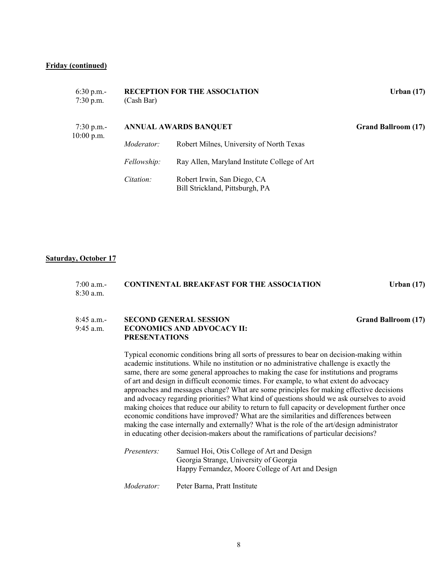#### **Friday (continued)**

| $6:30$ p.m.-<br>$7:30$ p.m. | (Cash Bar)                   | <b>RECEPTION FOR THE ASSOCIATION</b>                           | Urban $(17)$               |
|-----------------------------|------------------------------|----------------------------------------------------------------|----------------------------|
| 7:30 p.m.-<br>$10:00$ p.m.  | <b>ANNUAL AWARDS BANQUET</b> |                                                                | <b>Grand Ballroom (17)</b> |
|                             | Moderator:                   | Robert Milnes, University of North Texas                       |                            |
|                             | Fellowship:                  | Ray Allen, Maryland Institute College of Art                   |                            |
|                             | Citation:                    | Robert Irwin, San Diego, CA<br>Bill Strickland, Pittsburgh, PA |                            |

#### **Saturday, October 17**

| 7:00 a.m.- | <b>CONTINENTAL BREAKFAST FOR THE ASSOCIATION</b> | Urban $(17)$ |
|------------|--------------------------------------------------|--------------|
| 8:30 a.m.  |                                                  |              |

#### 8:45 a.m.- **SECOND GENERAL SESSION Grand Ballroom (17)** 9:45 a.m. **ECONOMICS AND ADVOCACY II: PRESENTATIONS**

Typical economic conditions bring all sorts of pressures to bear on decision-making within academic institutions. While no institution or no administrative challenge is exactly the same, there are some general approaches to making the case for institutions and programs of art and design in difficult economic times. For example, to what extent do advocacy approaches and messages change? What are some principles for making effective decisions and advocacy regarding priorities? What kind of questions should we ask ourselves to avoid making choices that reduce our ability to return to full capacity or development further once economic conditions have improved? What are the similarities and differences between making the case internally and externally? What is the role of the art/design administrator in educating other decision-makers about the ramifications of particular decisions?

| <i>Presenters:</i> | Samuel Hoi, Otis College of Art and Design       |  |
|--------------------|--------------------------------------------------|--|
|                    | Georgia Strange, University of Georgia           |  |
|                    | Happy Fernandez, Moore College of Art and Design |  |
|                    |                                                  |  |

*Moderator:* Peter Barna, Pratt Institute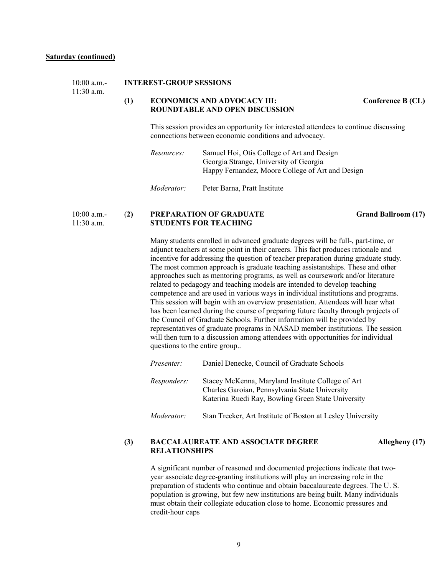#### 10:00 a.m.- **INTEREST-GROUP SESSIONS**

11:30 a.m.

#### **(1) ECONOMICS AND ADVOCACY III: Conference B (CL) ROUNDTABLE AND OPEN DISCUSSION**

This session provides an opportunity for interested attendees to continue discussing connections between economic conditions and advocacy.

*Resources:* Samuel Hoi, Otis College of Art and Design Georgia Strange, University of Georgia Happy Fernandez, Moore College of Art and Design

*Moderator:* Peter Barna, Pratt Institute

#### 10:00 a.m.- (**2) PREPARATION OF GRADUATE Grand Ballroom (17)** 11:30 a.m. **STUDENTS FOR TEACHING**

Many students enrolled in advanced graduate degrees will be full-, part-time, or adjunct teachers at some point in their careers. This fact produces rationale and incentive for addressing the question of teacher preparation during graduate study. The most common approach is graduate teaching assistantships. These and other approaches such as mentoring programs, as well as coursework and/or literature related to pedagogy and teaching models are intended to develop teaching competence and are used in various ways in individual institutions and programs. This session will begin with an overview presentation. Attendees will hear what has been learned during the course of preparing future faculty through projects of the Council of Graduate Schools. Further information will be provided by representatives of graduate programs in NASAD member institutions. The session will then turn to a discussion among attendees with opportunities for individual questions to the entire group..

| <i>Presenter:</i> | Daniel Denecke, Council of Graduate Schools                                                                                                               |
|-------------------|-----------------------------------------------------------------------------------------------------------------------------------------------------------|
| Responders:       | Stacey McKenna, Maryland Institute College of Art<br>Charles Garoian, Pennsylvania State University<br>Katerina Ruedi Ray, Bowling Green State University |
| Moderator:        | Stan Trecker, Art Institute of Boston at Lesley University                                                                                                |

#### **(3) BACCALAUREATE AND ASSOCIATE DEGREE Allegheny (17) RELATIONSHIPS**

A significant number of reasoned and documented projections indicate that twoyear associate degree-granting institutions will play an increasing role in the preparation of students who continue and obtain baccalaureate degrees. The U. S. population is growing, but few new institutions are being built. Many individuals must obtain their collegiate education close to home. Economic pressures and credit-hour caps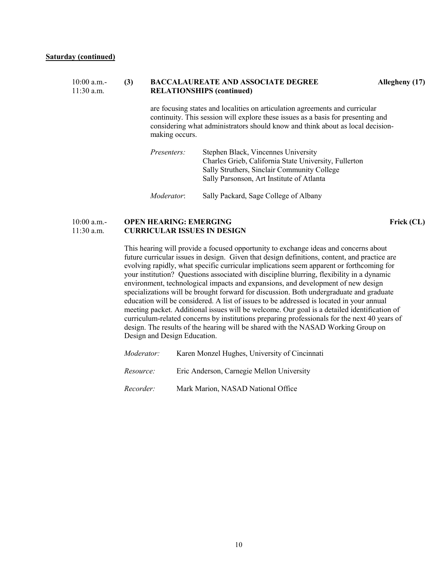#### 10:00 a.m.- **(3) BACCALAUREATE AND ASSOCIATE DEGREE Allegheny (17)** 11:30 a.m. **RELATIONSHIPS (continued)**

are focusing states and localities on articulation agreements and curricular continuity. This session will explore these issues as a basis for presenting and considering what administrators should know and think about as local decisionmaking occurs.

| <i>Presenters:</i> | Stephen Black, Vincennes University                   |
|--------------------|-------------------------------------------------------|
|                    | Charles Grieb, California State University, Fullerton |
|                    | Sally Struthers, Sinclair Community College           |
|                    | Sally Parsonson, Art Institute of Atlanta             |
|                    |                                                       |
| <i>Moderator:</i>  | Sally Packard, Sage College of Albany                 |

#### 10:00 a.m.- **OPEN HEARING: EMERGING FRICK (CL)** 11:30 a.m. **CURRICULAR ISSUES IN DESIGN**

This hearing will provide a focused opportunity to exchange ideas and concerns about future curricular issues in design. Given that design definitions, content, and practice are evolving rapidly, what specific curricular implications seem apparent or forthcoming for your institution? Questions associated with discipline blurring, flexibility in a dynamic environment, technological impacts and expansions, and development of new design specializations will be brought forward for discussion. Both undergraduate and graduate education will be considered. A list of issues to be addressed is located in your annual meeting packet. Additional issues will be welcome. Our goal is a detailed identification of curriculum-related concerns by institutions preparing professionals for the next 40 years of design. The results of the hearing will be shared with the NASAD Working Group on Design and Design Education.

| Moderator: | Karen Monzel Hughes, University of Cincinnati |
|------------|-----------------------------------------------|
| Resource:  | Eric Anderson, Carnegie Mellon University     |
| Recorder:  | Mark Marion, NASAD National Office            |